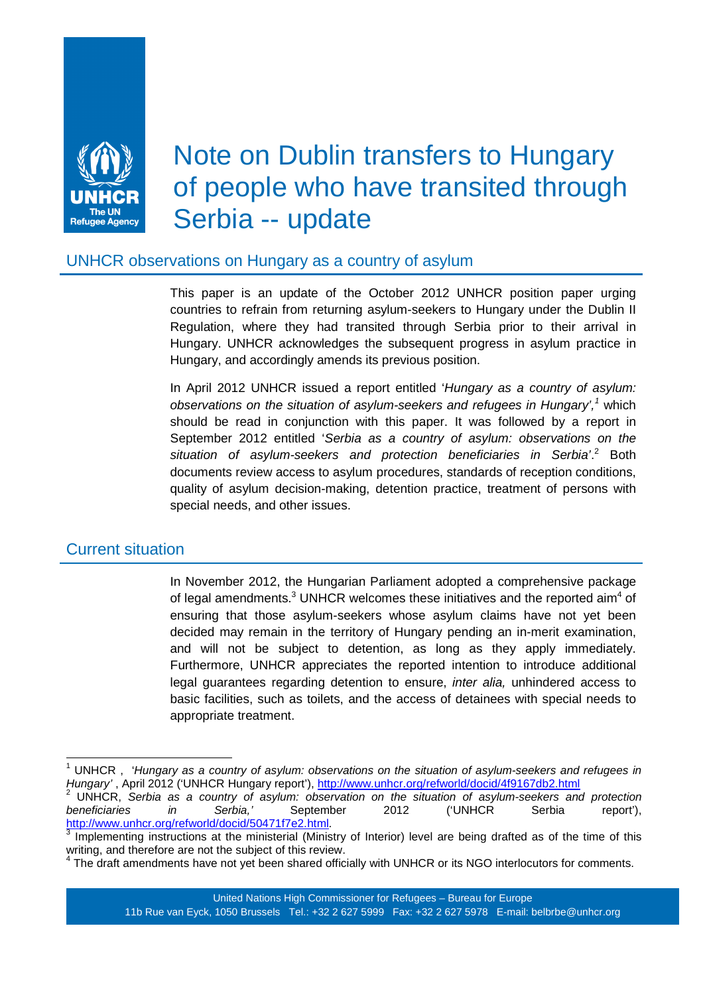

# Note on Dublin transfers to Hungary of people who have transited through Serbia -- update

## UNHCR observations on Hungary as a country of asylum

 This paper is an update of the October 2012 UNHCR position paper urging countries to refrain from returning asylum-seekers to Hungary under the Dublin II Regulation, where they had transited through Serbia prior to their arrival in Hungary. UNHCR acknowledges the subsequent progress in asylum practice in Hungary, and accordingly amends its previous position.

In April 2012 UNHCR issued a report entitled 'Hungary as a country of asylum: observations on the situation of asylum-seekers and refugees in Hungary',<sup>1</sup> which should be read in conjunction with this paper. It was followed by a report in September 2012 entitled 'Serbia as a country of asylum: observations on the situation of asylum-seekers and protection beneficiaries in Serbia'.<sup>2</sup> Both documents review access to asylum procedures, standards of reception conditions, quality of asylum decision-making, detention practice, treatment of persons with special needs, and other issues.

### Current situation

 In November 2012, the Hungarian Parliament adopted a comprehensive package of legal amendments.<sup>3</sup> UNHCR welcomes these initiatives and the reported aim<sup>4</sup> of ensuring that those asylum-seekers whose asylum claims have not yet been decided may remain in the territory of Hungary pending an in-merit examination, and will not be subject to detention, as long as they apply immediately. Furthermore, UNHCR appreciates the reported intention to introduce additional legal guarantees regarding detention to ensure, inter alia, unhindered access to basic facilities, such as toilets, and the access of detainees with special needs to appropriate treatment.

 1 UNHCR , 'Hungary as a country of asylum: observations on the situation of asylum-seekers and refugees in Hungary' , April 2012 ('UNHCR Hungary report'), http://www.unhcr.org/refworld/docid/4f9167db2.html

<sup>2</sup> <sup>2</sup> UNHCR, Serbia as a country of asylum: observation on the situation of asylum-seekers and protection beneficiaries in Serbia,' September 2012 ('UNHCR Serbia report'), beneficiaries in Serbia,' September 2012 ('UNHCR Serbia report'), http://www.unhcr.org/refworld/docid/50471f7e2.html.<br><sup>3</sup> Implementing instructions at the ministerial (Minist

Implementing instructions at the ministerial (Ministry of Interior) level are being drafted as of the time of this writing, and therefore are not the subject of this review.<br><sup>4</sup> The dreft emandmente hove not vet been shared effici-

The draft amendments have not yet been shared officially with UNHCR or its NGO interlocutors for comments.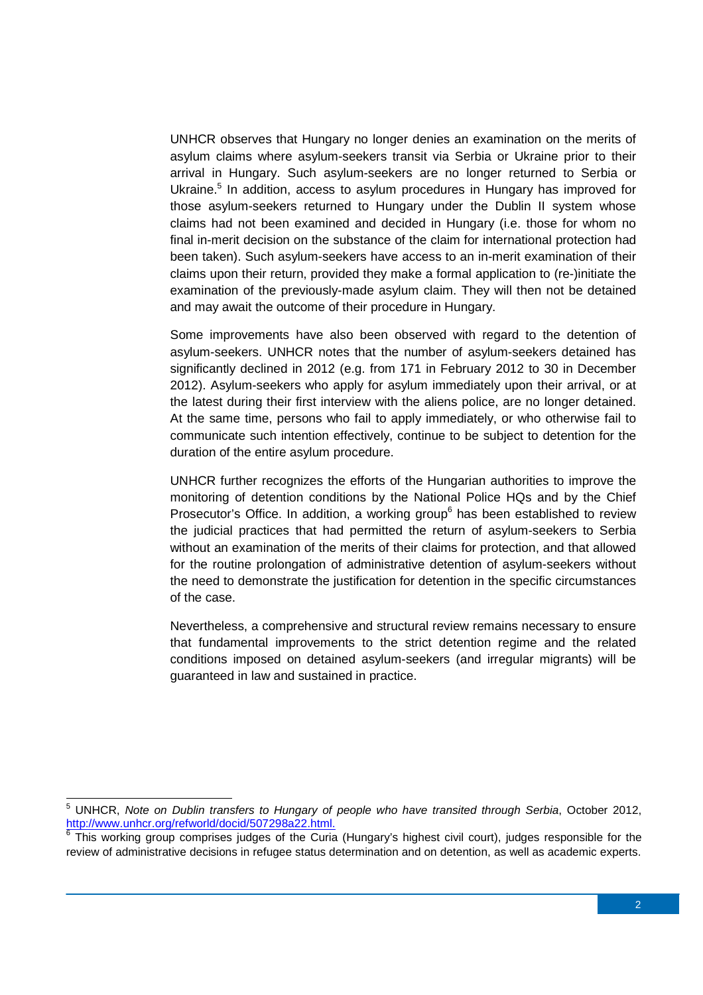UNHCR observes that Hungary no longer denies an examination on the merits of asylum claims where asylum-seekers transit via Serbia or Ukraine prior to their arrival in Hungary. Such asylum-seekers are no longer returned to Serbia or Ukraine.<sup>5</sup> In addition, access to asylum procedures in Hungary has improved for those asylum-seekers returned to Hungary under the Dublin II system whose claims had not been examined and decided in Hungary (i.e. those for whom no final in-merit decision on the substance of the claim for international protection had been taken). Such asylum-seekers have access to an in-merit examination of their claims upon their return, provided they make a formal application to (re-)initiate the examination of the previously-made asylum claim. They will then not be detained and may await the outcome of their procedure in Hungary.

Some improvements have also been observed with regard to the detention of asylum-seekers. UNHCR notes that the number of asylum-seekers detained has significantly declined in 2012 (e.g. from 171 in February 2012 to 30 in December 2012). Asylum-seekers who apply for asylum immediately upon their arrival, or at the latest during their first interview with the aliens police, are no longer detained. At the same time, persons who fail to apply immediately, or who otherwise fail to communicate such intention effectively, continue to be subject to detention for the duration of the entire asylum procedure.

UNHCR further recognizes the efforts of the Hungarian authorities to improve the monitoring of detention conditions by the National Police HQs and by the Chief Prosecutor's Office. In addition, a working group $6$  has been established to review the judicial practices that had permitted the return of asylum-seekers to Serbia without an examination of the merits of their claims for protection, and that allowed for the routine prolongation of administrative detention of asylum-seekers without the need to demonstrate the justification for detention in the specific circumstances of the case.

Nevertheless, a comprehensive and structural review remains necessary to ensure that fundamental improvements to the strict detention regime and the related conditions imposed on detained asylum-seekers (and irregular migrants) will be guaranteed in law and sustained in practice.

 5 UNHCR, Note on Dublin transfers to Hungary of people who have transited through Serbia, October 2012, http://www.unhcr.org/refworld/docid/507298a22.html.

<sup>&</sup>lt;sup>6</sup> This working group comprises judges of the Curia (Hungary's highest civil court), judges responsible for the review of administrative decisions in refugee status determination and on detention, as well as academic experts.